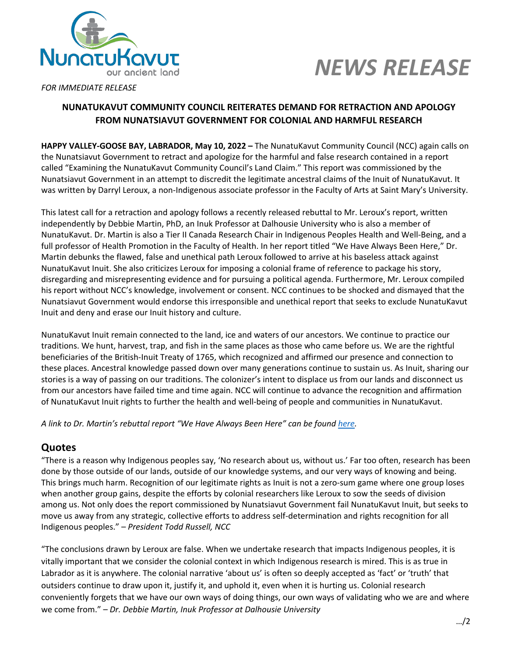



*FOR IMMEDIATE RELEASE*

#### **NUNATUKAVUT COMMUNITY COUNCIL REITERATES DEMAND FOR RETRACTION AND APOLOGY FROM NUNATSIAVUT GOVERNMENT FOR COLONIAL AND HARMFUL RESEARCH**

**HAPPY VALLEY-GOOSE BAY, LABRADOR, May 10, 2022 –** The NunatuKavut Community Council (NCC) again calls on the Nunatsiavut Government to retract and apologize for the harmful and false research contained in a report called "Examining the NunatuKavut Community Council's Land Claim." This report was commissioned by the Nunatsiavut Government in an attempt to discredit the legitimate ancestral claims of the Inuit of NunatuKavut. It was written by Darryl Leroux, a non-Indigenous associate professor in the Faculty of Arts at Saint Mary's University.

This latest call for a retraction and apology follows a recently released rebuttal to Mr. Leroux's report, written independently by Debbie Martin, PhD, an Inuk Professor at Dalhousie University who is also a member of NunatuKavut. Dr. Martin is also a Tier II Canada Research Chair in Indigenous Peoples Health and Well-Being, and a full professor of Health Promotion in the Faculty of Health. In her report titled "We Have Always Been Here," Dr. Martin debunks the flawed, false and unethical path Leroux followed to arrive at his baseless attack against NunatuKavut Inuit. She also criticizes Leroux for imposing a colonial frame of reference to package his story, disregarding and misrepresenting evidence and for pursuing a political agenda. Furthermore, Mr. Leroux compiled his report without NCC's knowledge, involvement or consent. NCC continues to be shocked and dismayed that the Nunatsiavut Government would endorse this irresponsible and unethical report that seeks to exclude NunatuKavut Inuit and deny and erase our Inuit history and culture.

NunatuKavut Inuit remain connected to the land, ice and waters of our ancestors. We continue to practice our traditions. We hunt, harvest, trap, and fish in the same places as those who came before us. We are the rightful beneficiaries of the British-Inuit Treaty of 1765, which recognized and affirmed our presence and connection to these places. Ancestral knowledge passed down over many generations continue to sustain us. As Inuit, sharing our stories is a way of passing on our traditions. The colonizer's intent to displace us from our lands and disconnect us from our ancestors have failed time and time again. NCC will continue to advance the recognition and affirmation of NunatuKavut Inuit rights to further the health and well-being of people and communities in NunatuKavut.

*A link to Dr. Martin's rebuttal report "We Have Always Been Here" can be found here.*

### **Quotes**

"There is a reason why Indigenous peoples say, 'No research about us, without us.' Far too often, research has been done by those outside of our lands, outside of our knowledge systems, and our very ways of knowing and being. This brings much harm. Recognition of our legitimate rights as Inuit is not a zero-sum game where one group loses when another group gains, despite the efforts by colonial researchers like Leroux to sow the seeds of division among us. Not only does the report commissioned by Nunatsiavut Government fail NunatuKavut Inuit, but seeks to move us away from any strategic, collective efforts to address self-determination and rights recognition for all Indigenous peoples." – *President Todd Russell, NCC*

"The conclusions drawn by Leroux are false. When we undertake research that impacts Indigenous peoples, it is vitally important that we consider the colonial context in which Indigenous research is mired. This is as true in Labrador as it is anywhere. The colonial narrative 'about us' is often so deeply accepted as 'fact' or 'truth' that outsiders continue to draw upon it, justify it, and uphold it, even when it is hurting us. Colonial research conveniently forgets that we have our own ways of doing things, our own ways of validating who we are and where we come from." – *Dr. Debbie Martin, Inuk Professor at Dalhousie University*